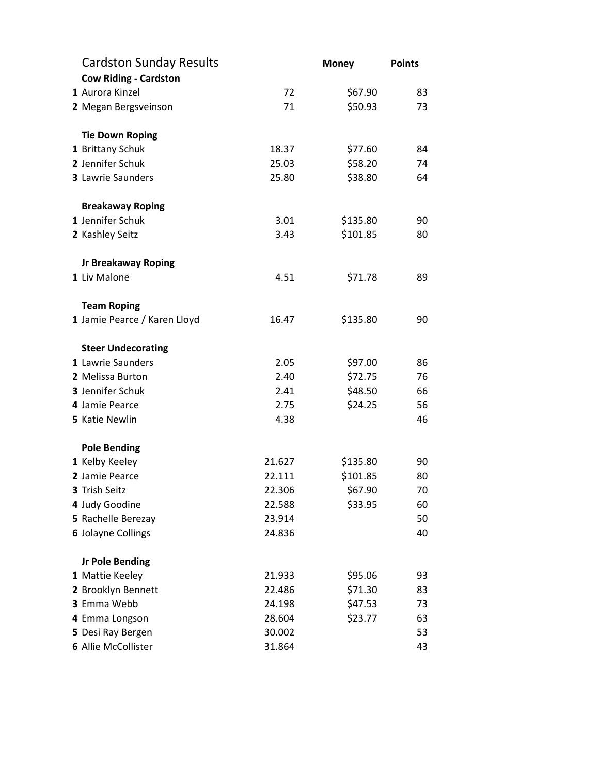| <b>Cardston Sunday Results</b> |        | <b>Money</b> | <b>Points</b> |
|--------------------------------|--------|--------------|---------------|
| <b>Cow Riding - Cardston</b>   |        |              |               |
| 1 Aurora Kinzel                | 72     | \$67.90      | 83            |
| 2 Megan Bergsveinson           | 71     | \$50.93      | 73            |
| <b>Tie Down Roping</b>         |        |              |               |
| 1 Brittany Schuk               | 18.37  | \$77.60      | 84            |
| 2 Jennifer Schuk               | 25.03  | \$58.20      | 74            |
| 3 Lawrie Saunders              | 25.80  | \$38.80      | 64            |
| <b>Breakaway Roping</b>        |        |              |               |
| 1 Jennifer Schuk               | 3.01   | \$135.80     | 90            |
| 2 Kashley Seitz                | 3.43   | \$101.85     | 80            |
| <b>Jr Breakaway Roping</b>     |        |              |               |
| 1 Liv Malone                   | 4.51   | \$71.78      | 89            |
| <b>Team Roping</b>             |        |              |               |
| 1 Jamie Pearce / Karen Lloyd   | 16.47  | \$135.80     | 90            |
| <b>Steer Undecorating</b>      |        |              |               |
| 1 Lawrie Saunders              | 2.05   | \$97.00      | 86            |
| 2 Melissa Burton               | 2.40   | \$72.75      | 76            |
| 3 Jennifer Schuk               | 2.41   | \$48.50      | 66            |
| 4 Jamie Pearce                 | 2.75   | \$24.25      | 56            |
| 5 Katie Newlin                 | 4.38   |              | 46            |
| <b>Pole Bending</b>            |        |              |               |
| 1 Kelby Keeley                 | 21.627 | \$135.80     | 90            |
| 2 Jamie Pearce                 | 22.111 | \$101.85     | 80            |
| <b>3 Trish Seitz</b>           | 22.306 | \$67.90      | 70            |
| 4 Judy Goodine                 | 22.588 | \$33.95      | 60            |
| 5 Rachelle Berezay             | 23.914 |              | 50            |
| <b>6 Jolayne Collings</b>      | 24.836 |              | 40            |
| <b>Jr Pole Bending</b>         |        |              |               |
| 1 Mattie Keeley                | 21.933 | \$95.06      | 93            |
| 2 Brooklyn Bennett             | 22.486 | \$71.30      | 83            |
| 3 Emma Webb                    | 24.198 | \$47.53      | 73            |
| 4 Emma Longson                 | 28.604 | \$23.77      | 63            |
| 5 Desi Ray Bergen              | 30.002 |              | 53            |
| 6 Allie McCollister            | 31.864 |              | 43            |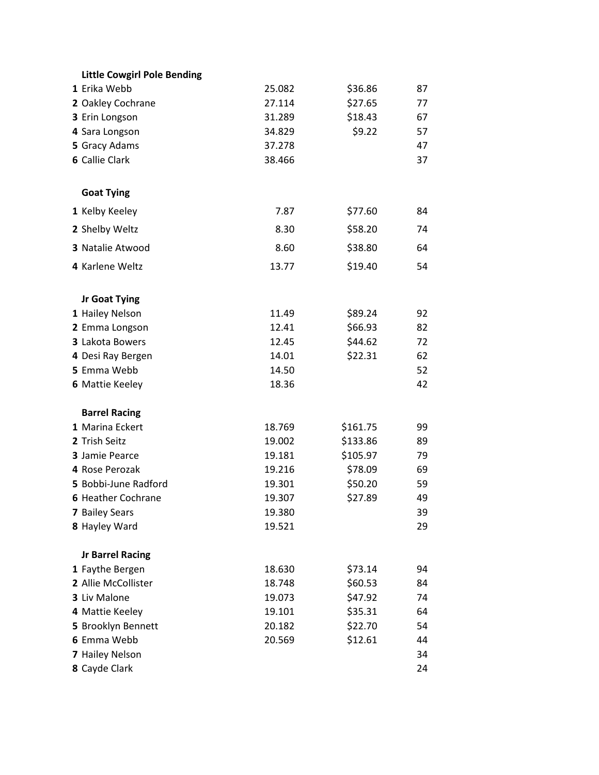| <b>Little Cowgirl Pole Bending</b> |        |          |    |
|------------------------------------|--------|----------|----|
| 1 Erika Webb                       | 25.082 | \$36.86  | 87 |
| 2 Oakley Cochrane                  | 27.114 | \$27.65  | 77 |
| 3 Erin Longson                     | 31.289 | \$18.43  | 67 |
| 4 Sara Longson                     | 34.829 | \$9.22   | 57 |
| 5 Gracy Adams                      | 37.278 |          | 47 |
| <b>6 Callie Clark</b>              | 38.466 |          | 37 |
| <b>Goat Tying</b>                  |        |          |    |
| 1 Kelby Keeley                     | 7.87   | \$77.60  | 84 |
| 2 Shelby Weltz                     | 8.30   | \$58.20  | 74 |
| 3 Natalie Atwood                   | 8.60   | \$38.80  | 64 |
| 4 Karlene Weltz                    | 13.77  | \$19.40  | 54 |
| Jr Goat Tying                      |        |          |    |
| 1 Hailey Nelson                    | 11.49  | \$89.24  | 92 |
| 2 Emma Longson                     | 12.41  | \$66.93  | 82 |
| 3 Lakota Bowers                    | 12.45  | \$44.62  | 72 |
| 4 Desi Ray Bergen                  | 14.01  | \$22.31  | 62 |
| 5 Emma Webb                        | 14.50  |          | 52 |
| <b>6 Mattie Keeley</b>             | 18.36  |          | 42 |
| <b>Barrel Racing</b>               |        |          |    |
| 1 Marina Eckert                    | 18.769 | \$161.75 | 99 |
| 2 Trish Seitz                      | 19.002 | \$133.86 | 89 |
| 3 Jamie Pearce                     | 19.181 | \$105.97 | 79 |
| 4 Rose Perozak                     | 19.216 | \$78.09  | 69 |
| 5 Bobbi-June Radford               | 19.301 | \$50.20  | 59 |
| <b>6 Heather Cochrane</b>          | 19.307 | \$27.89  | 49 |
| 7 Bailey Sears                     | 19.380 |          | 39 |
| 8 Hayley Ward                      | 19.521 |          | 29 |
| <b>Jr Barrel Racing</b>            |        |          |    |
| 1 Faythe Bergen                    | 18.630 | \$73.14  | 94 |
| 2 Allie McCollister                | 18.748 | \$60.53  | 84 |
| 3 Liv Malone                       | 19.073 | \$47.92  | 74 |
| 4 Mattie Keeley                    | 19.101 | \$35.31  | 64 |
| 5 Brooklyn Bennett                 | 20.182 | \$22.70  | 54 |
| 6 Emma Webb                        | 20.569 | \$12.61  | 44 |
| 7 Hailey Nelson                    |        |          | 34 |
| 8 Cayde Clark                      |        |          | 24 |